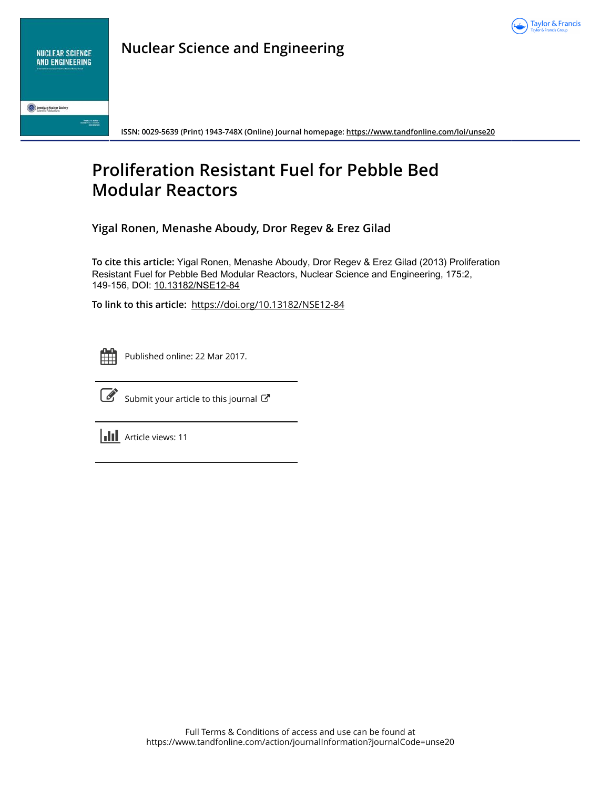

**Nuclear Science and Engineering**

**American Nuclear Society** 

**ISSN: 0029-5639 (Print) 1943-748X (Online) Journal homepage: <https://www.tandfonline.com/loi/unse20>**

# **Proliferation Resistant Fuel for Pebble Bed Modular Reactors**

**Yigal Ronen, Menashe Aboudy, Dror Regev & Erez Gilad**

**To cite this article:** Yigal Ronen, Menashe Aboudy, Dror Regev & Erez Gilad (2013) Proliferation Resistant Fuel for Pebble Bed Modular Reactors, Nuclear Science and Engineering, 175:2, 149-156, DOI: [10.13182/NSE12-84](https://www.tandfonline.com/action/showCitFormats?doi=10.13182/NSE12-84)

**To link to this article:** <https://doi.org/10.13182/NSE12-84>



Published online: 22 Mar 2017.



 $\overrightarrow{S}$  [Submit your article to this journal](https://www.tandfonline.com/action/authorSubmission?journalCode=unse20&show=instructions)  $\overrightarrow{S}$ 

**III** Article views: 11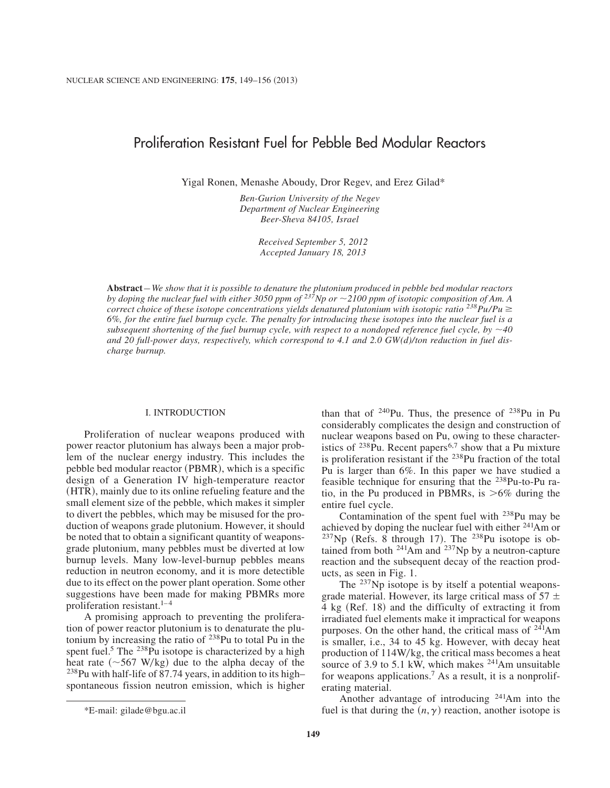# Proliferation Resistant Fuel for Pebble Bed Modular Reactors

Yigal Ronen, Menashe Aboudy, Dror Regev, and Erez Gilad\*

*Ben-Gurion University of the Negev Department of Nuclear Engineering Beer-Sheva 84105, Israel*

> *Received September 5, 2012 Accepted January 18, 2013*

**Abstract** – *We show that it is possible to denature the plutonium produced in pebble bed modular reactors by doping the nuclear fuel with either 3050 ppm of*  $^{237}$ Np or  $\sim$  2100 ppm of isotopic composition of Am. A *correct choice of these isotope concentrations yields denatured plutonium with isotopic ratio*  $238Pu/Pu \ge$ *6%, for the entire fuel burnup cycle. The penalty for introducing these isotopes into the nuclear fuel is a subsequent shortening of the fuel burnup cycle, with respect to a nondoped reference fuel cycle, by*  $\sim$ *40 and 20 full-power days, respectively, which correspond to 4.1 and 2.0 GW(d)/ton reduction in fuel discharge burnup.*

### I. INTRODUCTION

Proliferation of nuclear weapons produced with power reactor plutonium has always been a major problem of the nuclear energy industry. This includes the pebble bed modular reactor (PBMR), which is a specific design of a Generation IV high-temperature reactor (HTR), mainly due to its online refueling feature and the small element size of the pebble, which makes it simpler to divert the pebbles, which may be misused for the production of weapons grade plutonium. However, it should be noted that to obtain a significant quantity of weaponsgrade plutonium, many pebbles must be diverted at low burnup levels. Many low-level-burnup pebbles means reduction in neutron economy, and it is more detectible due to its effect on the power plant operation. Some other suggestions have been made for making PBMRs more proliferation resistant.<sup>1-4</sup>

A promising approach to preventing the proliferation of power reactor plutonium is to denaturate the plutonium by increasing the ratio of 238Pu to total Pu in the spent fuel.<sup>5</sup> The <sup>238</sup>Pu isotope is characterized by a high heat rate  $({\sim}567 \text{ W/kg})$  due to the alpha decay of the 238Pu with half-life of 87.74 years, in addition to its high– spontaneous fission neutron emission, which is higher than that of 240Pu. Thus, the presence of 238Pu in Pu considerably complicates the design and construction of nuclear weapons based on Pu, owing to these characteristics of  $^{238}$ Pu. Recent papers<sup>6,7</sup> show that a Pu mixture is proliferation resistant if the  $^{238}$ Pu fraction of the total Pu is larger than 6%. In this paper we have studied a feasible technique for ensuring that the 238Pu-to-Pu ratio, in the Pu produced in PBMRs, is  $>6\%$  during the entire fuel cycle.

Contamination of the spent fuel with  $^{238}$ Pu may be achieved by doping the nuclear fuel with either 241Am or  $237$ Np (Refs. 8 through 17). The  $238$ Pu isotope is obtained from both <sup>241</sup>Am and <sup>237</sup>Np by a neutron-capture reaction and the subsequent decay of the reaction products, as seen in Fig. 1.

The <sup>237</sup>Np isotope is by itself a potential weaponsgrade material. However, its large critical mass of  $57 \pm$  $4$  kg (Ref. 18) and the difficulty of extracting it from irradiated fuel elements make it impractical for weapons purposes. On the other hand, the critical mass of  $^{241}$ Am is smaller, i.e., 34 to 45 kg. However, with decay heat production of  $114W/kg$ , the critical mass becomes a heat source of 3.9 to 5.1 kW, which makes  $241$ Am unsuitable for weapons applications.7 As a result, it is a nonproliferating material.

Another advantage of introducing 241Am into the \*E-mail: gilade@bgu.ac.il fuel is that during the  $(n, \gamma)$  reaction, another isotope is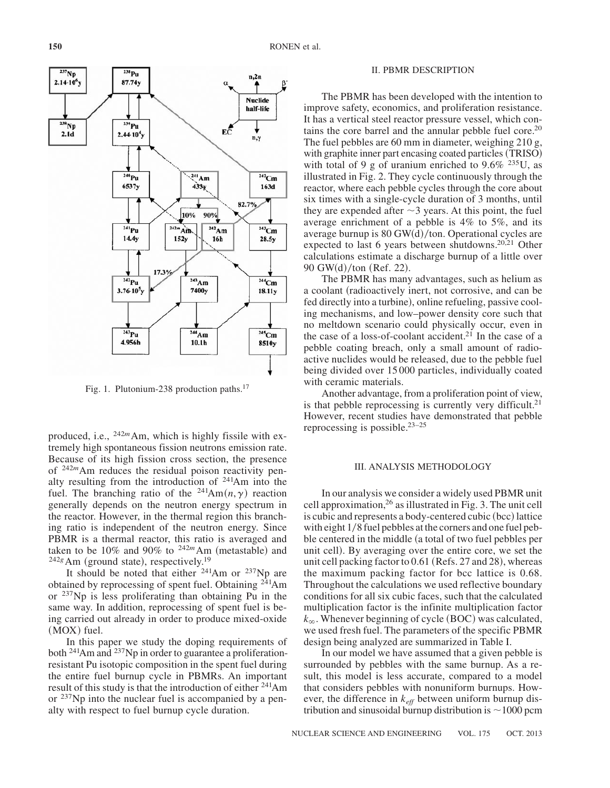

Fig. 1. Plutonium-238 production paths.17

produced, i.e., <sup>242</sup>*m*Am, which is highly fissile with extremely high spontaneous fission neutrons emission rate. Because of its high fission cross section, the presence of <sup>242*m*</sup>Am reduces the residual poison reactivity penalty resulting from the introduction of 241Am into the fuel. The branching ratio of the  $241Am(n, \gamma)$  reaction generally depends on the neutron energy spectrum in the reactor. However, in the thermal region this branching ratio is independent of the neutron energy. Since PBMR is a thermal reactor, this ratio is averaged and taken to be  $10\%$  and  $90\%$  to  $242m$  Am (metastable) and  $^{242g}$ Am (ground state), respectively.<sup>19</sup>

It should be noted that either  $^{241}$ Am or  $^{237}$ Np are obtained by reprocessing of spent fuel. Obtaining 241Am or 237Np is less proliferating than obtaining Pu in the same way. In addition, reprocessing of spent fuel is being carried out already in order to produce mixed-oxide  $(MOX)$  fuel.

In this paper we study the doping requirements of both <sup>241</sup>Am and <sup>237</sup>Np in order to guarantee a proliferationresistant Pu isotopic composition in the spent fuel during the entire fuel burnup cycle in PBMRs. An important result of this study is that the introduction of either <sup>241</sup>Am or <sup>237</sup>Np into the nuclear fuel is accompanied by a penalty with respect to fuel burnup cycle duration.

#### II. PBMR DESCRIPTION

The PBMR has been developed with the intention to improve safety, economics, and proliferation resistance. It has a vertical steel reactor pressure vessel, which contains the core barrel and the annular pebble fuel core.<sup>20</sup> The fuel pebbles are 60 mm in diameter, weighing 210 g, with graphite inner part encasing coated particles (TRISO) with total of 9 g of uranium enriched to  $9.6\%$  <sup>235</sup>U, as illustrated in Fig. 2. They cycle continuously through the reactor, where each pebble cycles through the core about six times with a single-cycle duration of 3 months, until they are expended after  $\sim$ 3 years. At this point, the fuel average enrichment of a pebble is 4% to 5%, and its average burnup is  $80$  GW $(d)/\text{ton}$ . Operational cycles are expected to last 6 years between shutdowns.<sup>20,21</sup> Other calculations estimate a discharge burnup of a little over  $90$  GW $(d)$ /ton (Ref. 22).

The PBMR has many advantages, such as helium as a coolant (radioactively inert, not corrosive, and can be fed directly into a turbine), online refueling, passive cooling mechanisms, and low–power density core such that no meltdown scenario could physically occur, even in the case of a loss-of-coolant accident.<sup>21</sup> In the case of a pebble coating breach, only a small amount of radioactive nuclides would be released, due to the pebble fuel being divided over 15 000 particles, individually coated with ceramic materials.

Another advantage, from a proliferation point of view, is that pebble reprocessing is currently very difficult.<sup>21</sup> However, recent studies have demonstrated that pebble reprocessing is possible.<sup>23-25</sup>

#### III. ANALYSIS METHODOLOGY

In our analysis we consider a widely used PBMR unit cell approximation,26 as illustrated in Fig. 3. The unit cell is cubic and represents a body-centered cubic (bcc) lattice with eight  $1/8$  fuel pebbles at the corners and one fuel pebble centered in the middle (a total of two fuel pebbles per unit cell). By averaging over the entire core, we set the unit cell packing factor to  $0.61$  (Refs. 27 and 28), whereas the maximum packing factor for bcc lattice is 0.68. Throughout the calculations we used reflective boundary conditions for all six cubic faces, such that the calculated multiplication factor is the infinite multiplication factor  $k_{\infty}$ . Whenever beginning of cycle (BOC) was calculated, we used fresh fuel. The parameters of the specific PBMR design being analyzed are summarized in Table I.

In our model we have assumed that a given pebble is surrounded by pebbles with the same burnup. As a result, this model is less accurate, compared to a model that considers pebbles with nonuniform burnups. However, the difference in *keff* between uniform burnup distribution and sinusoidal burnup distribution is  $\sim$ 1000 pcm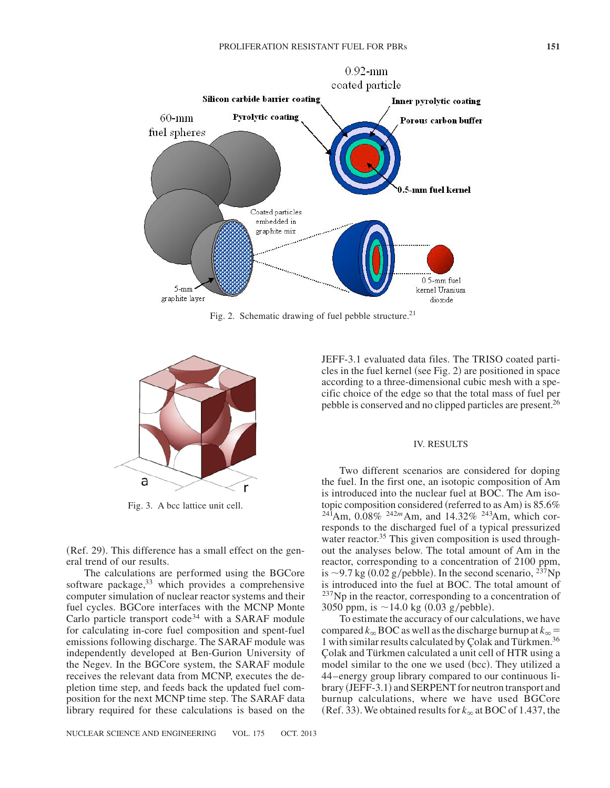

Fig. 2. Schematic drawing of fuel pebble structure.<sup>21</sup>



Fig. 3. A bcc lattice unit cell.

(Ref. 29). This difference has a small effect on the general trend of our results.

The calculations are performed using the BGCore software package,<sup>33</sup> which provides a comprehensive computer simulation of nuclear reactor systems and their fuel cycles. BGCore interfaces with the MCNP Monte Carlo particle transport code<sup>34</sup> with a SARAF module for calculating in-core fuel composition and spent-fuel emissions following discharge. The SARAF module was independently developed at Ben-Gurion University of the Negev. In the BGCore system, the SARAF module receives the relevant data from MCNP, executes the depletion time step, and feeds back the updated fuel composition for the next MCNP time step. The SARAF data library required for these calculations is based on the JEFF-3.1 evaluated data files. The TRISO coated particles in the fuel kernel (see Fig.  $2$ ) are positioned in space according to a three-dimensional cubic mesh with a specific choice of the edge so that the total mass of fuel per pebble is conserved and no clipped particles are present.26

# IV. RESULTS

Two different scenarios are considered for doping the fuel. In the first one, an isotopic composition of Am is introduced into the nuclear fuel at BOC. The Am isotopic composition considered (referred to as Am) is  $85.6\%$  $^{241}$ Am, 0.08% <sup>242*m*</sup>Am, and 14.32% <sup>243</sup>Am, which corresponds to the discharged fuel of a typical pressurized water reactor.<sup>35</sup> This given composition is used throughout the analyses below. The total amount of Am in the reactor, corresponding to a concentration of 2100 ppm, is  $\sim$ 9.7 kg (0.02 g/pebble). In the second scenario,  $^{237}Np$ is introduced into the fuel at BOC. The total amount of  $237$ Np in the reactor, corresponding to a concentration of 3050 ppm, is  $\sim$ 14.0 kg (0.03 g/pebble).

To estimate the accuracy of our calculations, we have compared  $k_{\infty}$  BOC as well as the discharge burnup at  $k_{\infty} =$ 1 with similar results calculated by Çolak and Türkmen.36 Çolak and Türkmen calculated a unit cell of HTR using a model similar to the one we used (bcc). They utilized a 44–energy group library compared to our continuous li- $\frac{1}{2}$  brary (JEFF-3.1) and SERPENT for neutron transport and burnup calculations, where we have used BGCore (Ref. 33). We obtained results for  $k_{\infty}$  at BOC of 1.437, the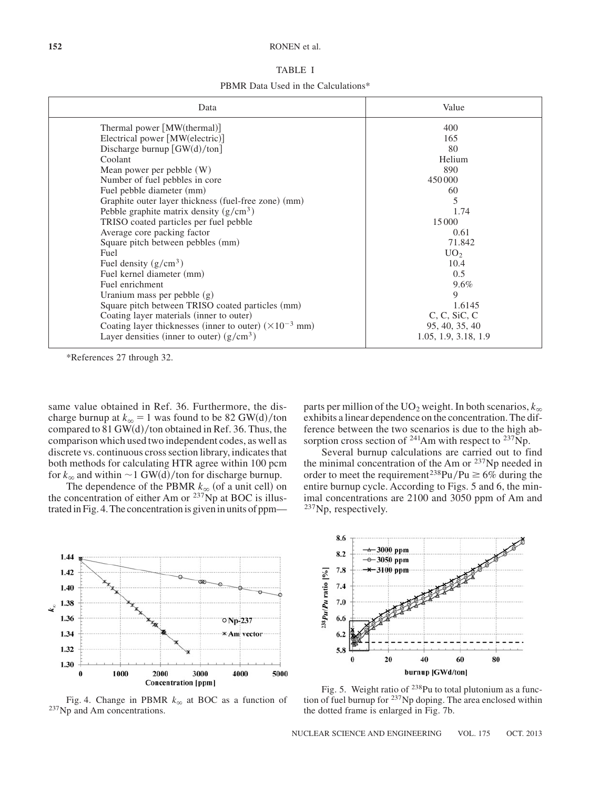#### **152** RONEN et al.

|--|--|

PBMR Data Used in the Calculations\*

| Data                                                                     | Value                |
|--------------------------------------------------------------------------|----------------------|
| Thermal power $\lceil MW(\text{thermal})\rceil$                          | 400                  |
| Electrical power [MW(electric)]                                          | 165                  |
| Discharge burnup $[GW(d)/ton]$                                           | 80                   |
| Coolant                                                                  | Helium               |
| Mean power per pebble $(W)$                                              | 890                  |
| Number of fuel pebbles in core                                           | 450000               |
| Fuel pebble diameter (mm)                                                | 60                   |
| Graphite outer layer thickness (fuel-free zone) (mm)                     | 5                    |
| Pebble graphite matrix density $(g/cm^3)$                                | 1.74                 |
| TRISO coated particles per fuel pebble                                   | 15 000               |
| Average core packing factor                                              | 0.61                 |
| Square pitch between pebbles (mm)                                        | 71.842               |
| Fuel                                                                     | UO <sub>2</sub>      |
| Fuel density $(g/cm^3)$                                                  | 10.4                 |
| Fuel kernel diameter (mm)                                                | 0.5                  |
| Fuel enrichment                                                          | $9.6\%$              |
| Uranium mass per pebble $(g)$                                            | 9                    |
| Square pitch between TRISO coated particles (mm)                         | 1.6145               |
| Coating layer materials (inner to outer)                                 | $C, C, S$ i $C, C$   |
| Coating layer thicknesses (inner to outer) $(\times 10^{-3} \text{ mm})$ | 95, 40, 35, 40       |
| Layer densities (inner to outer) $(g/cm3)$                               | 1.05, 1.9, 3.18, 1.9 |

\*References 27 through 32.

same value obtained in Ref. 36. Furthermore, the discharge burnup at  $k_{\infty} = 1$  was found to be 82 GW(d)/ton compared to  $81$  GW(d)/ton obtained in Ref. 36. Thus, the comparison which used two independent codes, as well as discrete vs. continuous cross section library, indicates that both methods for calculating HTR agree within 100 pcm for  $k_{\infty}$  and within  $\sim$ 1 GW(d)/ton for discharge burnup.

The dependence of the PBMR  $k_{\infty}$  (of a unit cell) on the concentration of either Am or <sup>237</sup>Np at BOC is illustrated in Fig. 4. The concentration is given in units of ppm—

parts per million of the UO<sub>2</sub> weight. In both scenarios,  $k_{\infty}$ exhibits a linear dependence on the concentration. The difference between the two scenarios is due to the high absorption cross section of  $^{241}$ Am with respect to  $^{237}$ Np.

Several burnup calculations are carried out to find the minimal concentration of the Am or  $237$ Np needed in order to meet the requirement<sup>238</sup>Pu/Pu  $\geq 6\%$  during the entire burnup cycle. According to Figs. 5 and 6, the minimal concentrations are 2100 and 3050 ppm of Am and 237Np, respectively.



Fig. 4. Change in PBMR  $k_{\infty}$  at BOC as a function of <sup>237</sup>Np and Am concentrations.



Fig. 5. Weight ratio of  $^{238}$ Pu to total plutonium as a function of fuel burnup for 237Np doping. The area enclosed within the dotted frame is enlarged in Fig. 7b.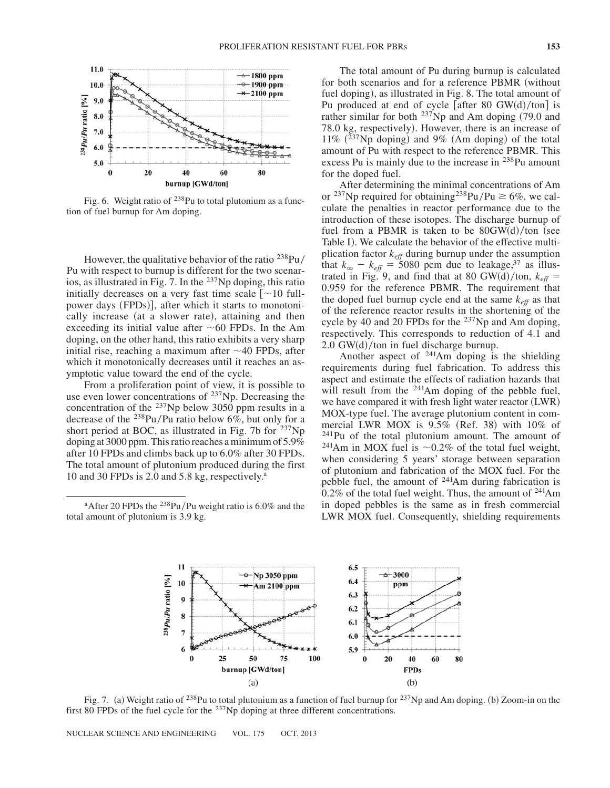

Fig. 6. Weight ratio of  $238$ Pu to total plutonium as a function of fuel burnup for Am doping.

However, the qualitative behavior of the ratio  $^{238}Pu/$ Pu with respect to burnup is different for the two scenarios, as illustrated in Fig. 7. In the  $^{237}$ Np doping, this ratio initially decreases on a very fast time scale  $\lceil$  ~10 fullpower days (FPDs)], after which it starts to monotonically increase (at a slower rate), attaining and then exceeding its initial value after  $\sim 60$  FPDs. In the Am doping, on the other hand, this ratio exhibits a very sharp initial rise, reaching a maximum after  $\sim$ 40 FPDs, after which it monotonically decreases until it reaches an asymptotic value toward the end of the cycle.

From a proliferation point of view, it is possible to use even lower concentrations of  $237$ Np. Decreasing the concentration of the 237Np below 3050 ppm results in a decrease of the  $^{238}$ Pu/Pu ratio below 6%, but only for a short period at BOC, as illustrated in Fig. 7b for <sup>237</sup>Np doping at 3000 ppm. This ratio reaches a minimum of 5.9% after 10 FPDs and climbs back up to 6.0% after 30 FPDs. The total amount of plutonium produced during the first 10 and 30 FPDs is 2.0 and 5.8 kg, respectively. $a$ 

<sup>a</sup>After 20 FPDs the <sup>238</sup>Pu/Pu weight ratio is  $6.0\%$  and the total amount of plutonium is 3.9 kg.

The total amount of Pu during burnup is calculated for both scenarios and for a reference PBMR (without fuel doping), as illustrated in Fig. 8. The total amount of Pu produced at end of cycle [after 80 GW $(d)/\text{ton}$ ] is rather similar for both  $^{237}$ Np and Am doping (79.0 and 78.0 kg, respectively). However, there is an increase of  $11\%$  ( $^{237}$ Np doping) and 9% (Am doping) of the total amount of Pu with respect to the reference PBMR. This excess Pu is mainly due to the increase in 238Pu amount for the doped fuel.

After determining the minimal concentrations of Am or <sup>237</sup>Np required for obtaining<sup>238</sup>Pu/Pu  $\geq 6\%$ , we calculate the penalties in reactor performance due to the introduction of these isotopes. The discharge burnup of fuel from a PBMR is taken to be  $80GW(d)/\text{ton}$  (see Table I). We calculate the behavior of the effective multiplication factor *keff* during burnup under the assumption that  $k_{\infty} - k_{\text{eff}} = 5080$  pcm due to leakage,<sup>37</sup> as illustrated in Fig. 9, and find that at 80 GW(d)/ton,  $k_{\text{eff}} =$ 0.959 for the reference PBMR. The requirement that the doped fuel burnup cycle end at the same  $k_{\text{eff}}$  as that of the reference reactor results in the shortening of the cycle by 40 and 20 FPDs for the <sup>237</sup>Np and Am doping, respectively. This corresponds to reduction of 4.1 and  $2.0$  GW $(d)/$ ton in fuel discharge burnup.

Another aspect of 241Am doping is the shielding requirements during fuel fabrication. To address this aspect and estimate the effects of radiation hazards that will result from the <sup>241</sup>Am doping of the pebble fuel, we have compared it with fresh light water reactor  $(LWR)$ MOX-type fuel. The average plutonium content in commercial LWR MOX is  $9.5\%$  (Ref. 38) with 10% of  $241$ Pu of the total plutonium amount. The amount of <sup>241</sup>Am in MOX fuel is  $\sim$ 0.2% of the total fuel weight, when considering 5 years' storage between separation of plutonium and fabrication of the MOX fuel. For the pebble fuel, the amount of 241Am during fabrication is  $0.2\%$  of the total fuel weight. Thus, the amount of  $241$ Am in doped pebbles is the same as in fresh commercial LWR MOX fuel. Consequently, shielding requirements



Fig. 7. (a) Weight ratio of <sup>238</sup>Pu to total plutonium as a function of fuel burnup for <sup>237</sup>Np and Am doping. (b) Zoom-in on the first 80 FPDs of the fuel cycle for the  $^{237}$ Np doping at three different concentrations.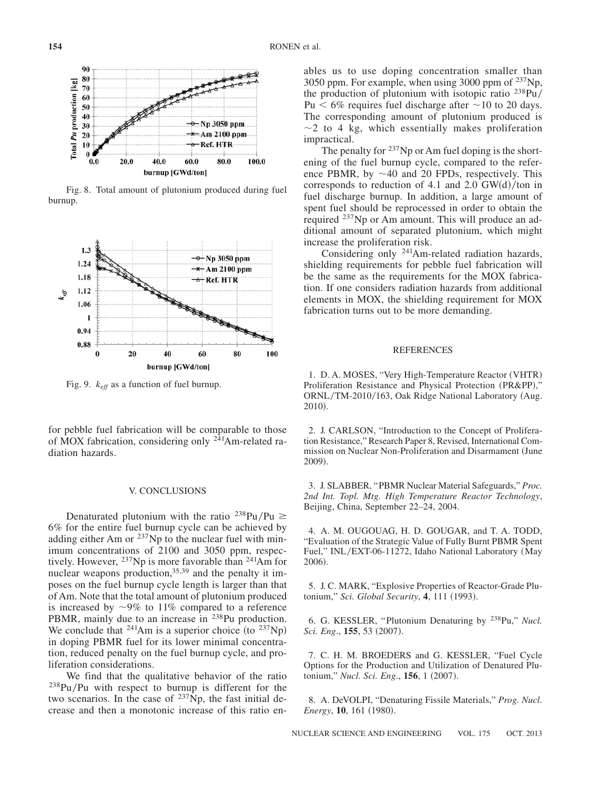

Fig. 8. Total amount of plutonium produced during fuel burnup.



Fig. 9. *keff* as a function of fuel burnup.

for pebble fuel fabrication will be comparable to those of MOX fabrication, considering only  $2\overline{4}1$ Am-related radiation hazards.

# V. CONCLUSIONS

Denaturated plutonium with the ratio  $^{238}Pu/Pu \ge$ 6% for the entire fuel burnup cycle can be achieved by adding either Am or  $^{237}$ Np to the nuclear fuel with minimum concentrations of 2100 and 3050 ppm, respectively. However, 237Np is more favorable than 241Am for nuclear weapons production, $35,39$  and the penalty it imposes on the fuel burnup cycle length is larger than that of Am. Note that the total amount of plutonium produced is increased by  $\sim$ 9% to 11% compared to a reference PBMR, mainly due to an increase in <sup>238</sup>Pu production. We conclude that <sup>241</sup>Am is a superior choice (to <sup>237</sup>Np) in doping PBMR fuel for its lower minimal concentration, reduced penalty on the fuel burnup cycle, and proliferation considerations.

We find that the qualitative behavior of the ratio  $238$ Pu/Pu with respect to burnup is different for the two scenarios. In the case of  $^{237}\text{Np}$ , the fast initial decrease and then a monotonic increase of this ratio enables us to use doping concentration smaller than 3050 ppm. For example, when using 3000 ppm of 237Np, the production of plutonium with isotopic ratio  $^{238}Pu/$ Pu  $\leq 6\%$  requires fuel discharge after  $\sim$ 10 to 20 days. The corresponding amount of plutonium produced is  $\sim$ 2 to 4 kg, which essentially makes proliferation impractical.

The penalty for  $237$ Np or Am fuel doping is the shortening of the fuel burnup cycle, compared to the reference PBMR, by  $\sim$ 40 and 20 FPDs, respectively. This corresponds to reduction of 4.1 and 2.0 GW $(d)/$ ton in fuel discharge burnup. In addition, a large amount of spent fuel should be reprocessed in order to obtain the required 237Np or Am amount. This will produce an additional amount of separated plutonium, which might increase the proliferation risk.

Considering only 241Am-related radiation hazards, shielding requirements for pebble fuel fabrication will be the same as the requirements for the MOX fabrication. If one considers radiation hazards from additional elements in MOX, the shielding requirement for MOX fabrication turns out to be more demanding.

# REFERENCES

1. D. A. MOSES, "Very High-Temperature Reactor (VHTR) Proliferation Resistance and Physical Protection (PR&PP)," ORNL/TM-2010/163, Oak Ridge National Laboratory (Aug. 2010).

2. J. CARLSON, "Introduction to the Concept of Proliferation Resistance," Research Paper 8, Revised, International Commission on Nuclear Non-Proliferation and Disarmament (June 2009).

3. J. SLABBER, "PBMR Nuclear Material Safeguards," *Proc. 2nd Int. Topl. Mtg. High Temperature Reactor Technology*, Beijing, China, September 22–24, 2004.

4. A. M. OUGOUAG, H. D. GOUGAR, and T. A. TODD, "Evaluation of the Strategic Value of Fully Burnt PBMR Spent Fuel," INL/EXT-06-11272, Idaho National Laboratory (May 2006).

5. J. C. MARK, "Explosive Properties of Reactor-Grade Plutonium," *Sci. Global Security*, 4, 111 (1993).

6. G. KESSLER, "Plutonium Denaturing by 238Pu," *Nucl. Sci. Eng.*, **155**, 53 (2007).

7. C. H. M. BROEDERS and G. KESSLER, "Fuel Cycle Options for the Production and Utilization of Denatured Plutonium," *Nucl. Sci. Eng.*, **156**, 1 (2007).

8. A. DeVOLPI, "Denaturing Fissile Materials," *Prog. Nucl. Energy*, 10, 161 (1980).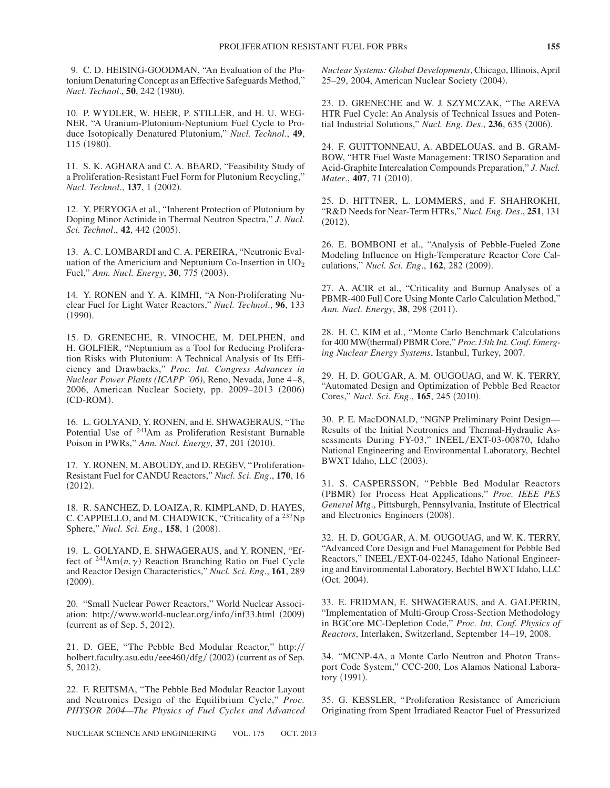9. C. D. HEISING-GOODMAN, "An Evaluation of the Plutonium Denaturing Concept as an Effective Safeguards Method," *Nucl. Technol.*, **50**, 242 (1980).

10. P. WYDLER, W. HEER, P. STILLER, and H. U. WEG-NER, "A Uranium-Plutonium-Neptunium Fuel Cycle to Produce Isotopically Denatured Plutonium," *Nucl. Technol*., **49**, 115 (1980).

11. S. K. AGHARA and C. A. BEARD, "Feasibility Study of a Proliferation-Resistant Fuel Form for Plutonium Recycling," *Nucl. Technol.*, **137**, 1 (2002).

12. Y. PERYOGA et al., "Inherent Protection of Plutonium by Doping Minor Actinide in Thermal Neutron Spectra," *J. Nucl. Sci. Technol.*, **42**, 442 (2005).

13. A. C. LOMBARDI and C. A. PEREIRA, "Neutronic Evaluation of the Americium and Neptunium Co-Insertion in  $UO<sub>2</sub>$ Fuel," Ann. Nucl. Energy, 30, 775 (2003).

14. Y. RONEN and Y. A. KIMHI, "A Non-Proliferating Nuclear Fuel for Light Water Reactors," *Nucl. Technol*., **96**, 133  $(1990).$ 

15. D. GRENECHE, R. VINOCHE, M. DELPHEN, and H. GOLFIER, "Neptunium as a Tool for Reducing Proliferation Risks with Plutonium: A Technical Analysis of Its Efficiency and Drawbacks," *Proc. Int. Congress Advances in Nuclear Power Plants (ICAPP '06)*, Reno, Nevada, June 4–8, 2006, American Nuclear Society, pp. 2009–2013 (2006) (CD-ROM).

16. L. GOLYAND, Y. RONEN, and E. SHWAGERAUS, "The Potential Use of 241Am as Proliferation Resistant Burnable Poison in PWRs," Ann. Nucl. Energy, 37, 201 (2010).

17. Y. RONEN, M. ABOUDY, and D. REGEV, "Proliferation-Resistant Fuel for CANDU Reactors," *Nucl. Sci. Eng*., **170**, 16  $(2012).$ 

18. R. SANCHEZ, D. LOAIZA, R. KIMPLAND, D. HAYES, C. CAPPIELLO, and M. CHADWICK, "Criticality of a 237Np Sphere," *Nucl. Sci. Eng.*, **158**, 1 (2008).

19. L. GOLYAND, E. SHWAGERAUS, and Y. RONEN, "Effect of  $^{241}Am(n, \gamma)$  Reaction Branching Ratio on Fuel Cycle and Reactor Design Characteristics," *Nucl. Sci. Eng*., **161**, 289  $(2009).$ 

20. "Small Nuclear Power Reactors," World Nuclear Association: http://www.world-nuclear.org/info/inf33.html (2009)  $(current as of Sep. 5, 2012).$ 

21. D. GEE, "The Pebble Bed Modular Reactor," http:// holbert.faculty.asu.edu/eee460/dfg/ (2002) (current as of Sep. 5, 2012).

22. F. REITSMA, "The Pebble Bed Modular Reactor Layout and Neutronics Design of the Equilibrium Cycle," *Proc. PHYSOR 2004—The Physics of Fuel Cycles and Advanced* *Nuclear Systems: Global Developments*, Chicago, Illinois, April 25–29, 2004, American Nuclear Society (2004).

23. D. GRENECHE and W. J. SZYMCZAK, "The AREVA HTR Fuel Cycle: An Analysis of Technical Issues and Potential Industrial Solutions," *Nucl. Eng. Des.*, 236, 635 (2006).

24. F. GUITTONNEAU, A. ABDELOUAS, and B. GRAM-BOW, "HTR Fuel Waste Management: TRISO Separation and Acid-Graphite Intercalation Compounds Preparation," *J. Nucl. Mater.*, 407, 71 (2010).

25. D. HITTNER, L. LOMMERS, and F. SHAHROKHI, "R&D Needs for Near-Term HTRs," *Nucl. Eng. Des*., **251**, 131  $(2012).$ 

26. E. BOMBONI et al., "Analysis of Pebble-Fueled Zone Modeling Influence on High-Temperature Reactor Core Calculations," *Nucl. Sci. Eng.*, **162**, 282 (2009).

27. A. ACIR et al., "Criticality and Burnup Analyses of a PBMR-400 Full Core Using Monte Carlo Calculation Method," *Ann. Nucl. Energy*, **38**, 298 (2011).

28. H. C. KIM et al., "Monte Carlo Benchmark Calculations for 400 MW(thermal) PBMR Core," Proc.13th Int. Conf. Emerg*ing Nuclear Energy Systems*, Istanbul, Turkey, 2007.

29. H. D. GOUGAR, A. M. OUGOUAG, and W. K. TERRY, "Automated Design and Optimization of Pebble Bed Reactor Cores," *Nucl. Sci. Eng.*, **165**, 245 (2010).

30. P. E. MacDONALD, "NGNP Preliminary Point Design— Results of the Initial Neutronics and Thermal-Hydraulic Assessments During FY-03," INEEL/EXT-03-00870, Idaho National Engineering and Environmental Laboratory, Bechtel BWXT Idaho, LLC (2003).

31. S. CASPERSSON, "Pebble Bed Modular Reactors (PBMR) for Process Heat Applications," Proc. IEEE PES *General Mtg*., Pittsburgh, Pennsylvania, Institute of Electrical and Electronics Engineers (2008).

32. H. D. GOUGAR, A. M. OUGOUAG, and W. K. TERRY, "Advanced Core Design and Fuel Management for Pebble Bed Reactors," INEEL/EXT-04-02245, Idaho National Engineering and Environmental Laboratory, Bechtel BWXT Idaho, LLC  $(Oct. 2004).$ 

33. E. FRIDMAN, E. SHWAGERAUS, and A. GALPERIN, "Implementation of Multi-Group Cross-Section Methodology in BGCore MC-Depletion Code," *Proc. Int. Conf. Physics of Reactors*, Interlaken, Switzerland, September 14–19, 2008.

34. "MCNP-4A, a Monte Carlo Neutron and Photon Transport Code System," CCC-200, Los Alamos National Laboratory (1991).

35. G. KESSLER, "Proliferation Resistance of Americium Originating from Spent Irradiated Reactor Fuel of Pressurized